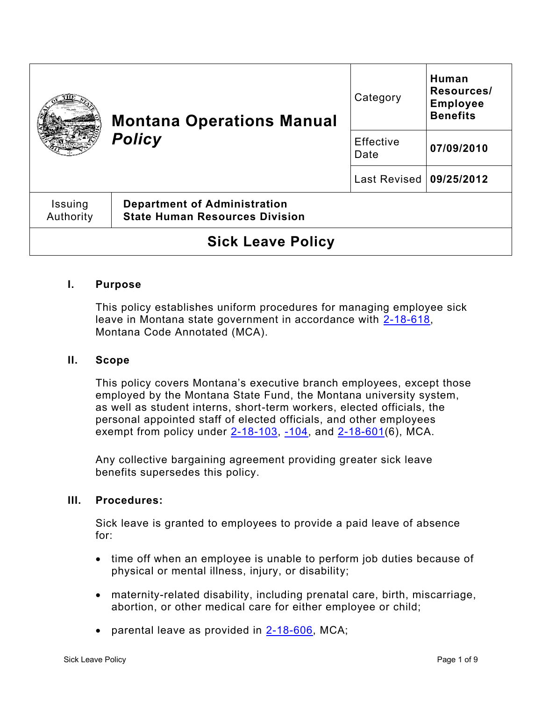|                          | <b>Montana Operations Manual</b><br><b>Policy</b>                            | Category                  | Human<br>Resources/<br><b>Employee</b><br><b>Benefits</b> |
|--------------------------|------------------------------------------------------------------------------|---------------------------|-----------------------------------------------------------|
|                          |                                                                              | Effective<br>Date         | 07/09/2010                                                |
|                          |                                                                              | Last Revised   09/25/2012 |                                                           |
| Issuing<br>Authority     | <b>Department of Administration</b><br><b>State Human Resources Division</b> |                           |                                                           |
| <b>Sick Leave Policy</b> |                                                                              |                           |                                                           |

#### **I. Purpose**

This policy establishes uniform procedures for managing employee sick leave in Montana state government in accordance with [2-18-618,](https://leg.mt.gov/bills/mca/title_0020/chapter_0180/part_0060/section_0180/0020-0180-0060-0180.html) Montana Code Annotated (MCA).

#### **II. Scope**

This policy covers Montana's executive branch employees, except those employed by the Montana State Fund, the Montana university system, as well as student interns, short-term workers, elected officials, the personal appointed staff of elected officials, and other employees exempt from policy under  $2-18-103$ ,  $-104$ , and  $2-18-601(6)$ , MCA.

Any collective bargaining agreement providing greater sick leave benefits supersedes this policy.

#### **III. Procedures:**

Sick leave is granted to employees to provide a paid leave of absence for:

- time off when an employee is unable to perform job duties because of physical or mental illness, injury, or disability;
- maternity-related disability, including prenatal care, birth, miscarriage, abortion, or other medical care for either employee or child;
- parental leave as provided in [2-18-606,](https://leg.mt.gov/bills/mca/title_0020/chapter_0180/part_0060/section_0060/0020-0180-0060-0060.html) MCA;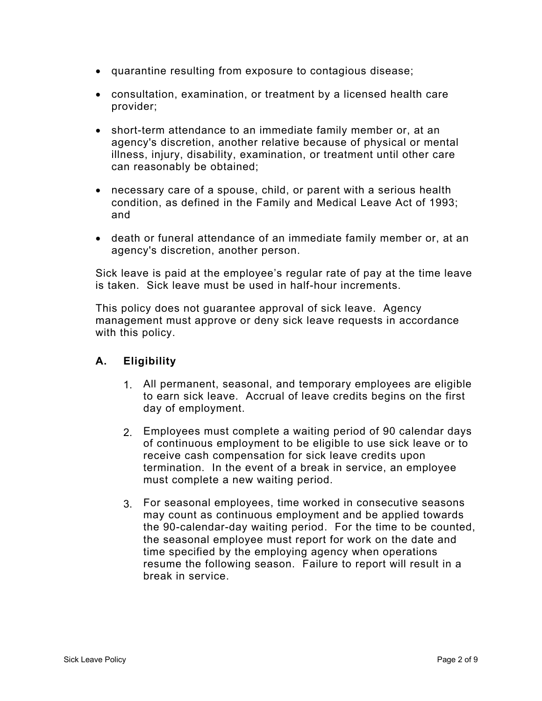- quarantine resulting from exposure to contagious disease;
- consultation, examination, or treatment by a licensed health care provider;
- short-term attendance to an immediate family member or, at an agency's discretion, another relative because of physical or mental illness, injury, disability, examination, or treatment until other care can reasonably be obtained;
- necessary care of a spouse, child, or parent with a serious health condition, as defined in the Family and Medical Leave Act of 1993; and
- death or funeral attendance of an immediate family member or, at an agency's discretion, another person.

Sick leave is paid at the employee's regular rate of pay at the time leave is taken. Sick leave must be used in half-hour increments.

This policy does not guarantee approval of sick leave. Agency management must approve or deny sick leave requests in accordance with this policy.

# **A. Eligibility**

- 1. All permanent, seasonal, and temporary employees are eligible to earn sick leave. Accrual of leave credits begins on the first day of employment.
- 2. Employees must complete a waiting period of 90 calendar days of continuous employment to be eligible to use sick leave or to receive cash compensation for sick leave credits upon termination. In the event of a break in service, an employee must complete a new waiting period.
- 3. For seasonal employees, time worked in consecutive seasons may count as continuous employment and be applied towards the 90-calendar-day waiting period. For the time to be counted, the seasonal employee must report for work on the date and time specified by the employing agency when operations resume the following season. Failure to report will result in a break in service.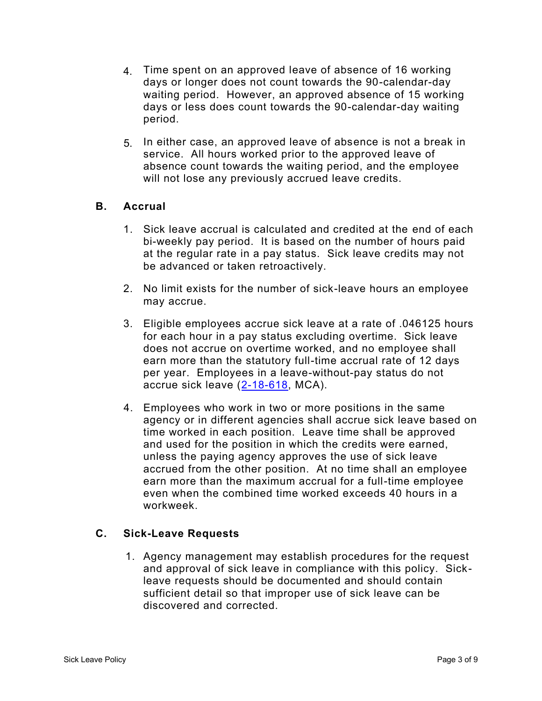- 4. Time spent on an approved leave of absence of 16 working days or longer does not count towards the 90-calendar-day waiting period. However, an approved absence of 15 working days or less does count towards the 90-calendar-day waiting period.
- 5. In either case, an approved leave of absence is not a break in service. All hours worked prior to the approved leave of absence count towards the waiting period, and the employee will not lose any previously accrued leave credits.

### **B. Accrual**

- 1. Sick leave accrual is calculated and credited at the end of each bi-weekly pay period. It is based on the number of hours paid at the regular rate in a pay status. Sick leave credits may not be advanced or taken retroactively.
- 2. No limit exists for the number of sick-leave hours an employee may accrue.
- 3. Eligible employees accrue sick leave at a rate of .046125 hours for each hour in a pay status excluding overtime. Sick leave does not accrue on overtime worked, and no employee shall earn more than the statutory full-time accrual rate of 12 days per year. Employees in a leave-without-pay status do not accrue sick leave [\(2-18-618,](https://leg.mt.gov/bills/mca/title_0020/chapter_0180/part_0060/section_0180/0020-0180-0060-0180.html) MCA).
- 4. Employees who work in two or more positions in the same agency or in different agencies shall accrue sick leave based on time worked in each position. Leave time shall be approved and used for the position in which the credits were earned, unless the paying agency approves the use of sick leave accrued from the other position. At no time shall an employee earn more than the maximum accrual for a full-time employee even when the combined time worked exceeds 40 hours in a workweek.

# **C. Sick-Leave Requests**

1. Agency management may establish procedures for the request and approval of sick leave in compliance with this policy. Sickleave requests should be documented and should contain sufficient detail so that improper use of sick leave can be discovered and corrected.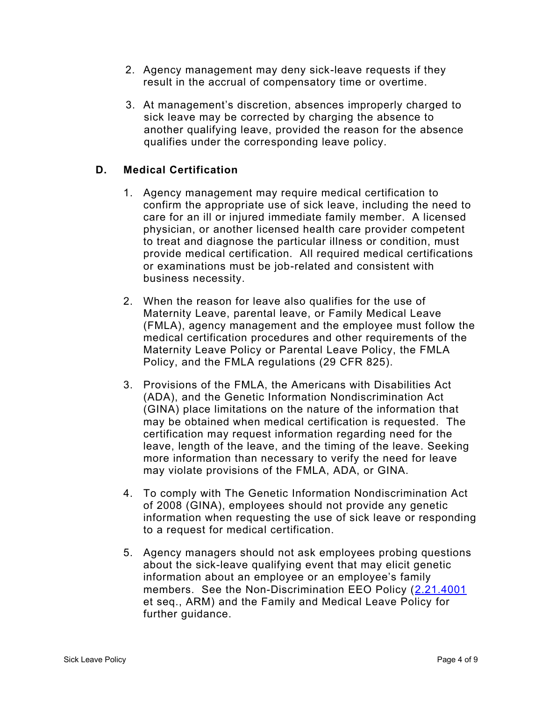- 2. Agency management may deny sick-leave requests if they result in the accrual of compensatory time or overtime.
- 3. At management's discretion, absences improperly charged to sick leave may be corrected by charging the absence to another qualifying leave, provided the reason for the absence qualifies under the corresponding leave policy.

# **D. Medical Certification**

- 1. Agency management may require medical certification to confirm the appropriate use of sick leave, including the need to care for an ill or injured immediate family member. A licensed physician, or another licensed health care provider competent to treat and diagnose the particular illness or condition, must provide medical certification. All required medical certifications or examinations must be job-related and consistent with business necessity.
- 2. When the reason for leave also qualifies for the use of Maternity Leave, parental leave, or Family Medical Leave (FMLA), agency management and the employee must follow the medical certification procedures and other requirements of the Maternity Leave Policy or Parental Leave Policy, the FMLA Policy, and the FMLA regulations (29 CFR 825).
- 3. Provisions of the FMLA, the Americans with Disabilities Act (ADA), and the Genetic Information Nondiscrimination Act (GINA) place limitations on the nature of the information that may be obtained when medical certification is requested. The certification may request information regarding need for the leave, length of the leave, and the timing of the leave. Seeking more information than necessary to verify the need for leave may violate provisions of the FMLA, ADA, or GINA.
- 4. To comply with The Genetic Information Nondiscrimination Act of 2008 (GINA), employees should not provide any genetic information when requesting the use of sick leave or responding to a request for medical certification.
- 5. Agency managers should not ask employees probing questions about the sick-leave qualifying event that may elicit genetic information about an employee or an employee's family members. See the Non-Discrimination EEO Policy [\(2.21.4001](http://www.mtrules.org/gateway/Subchapterhome.asp?scn=2%2E21.40) et seq., ARM) and the Family and Medical Leave Policy for further guidance.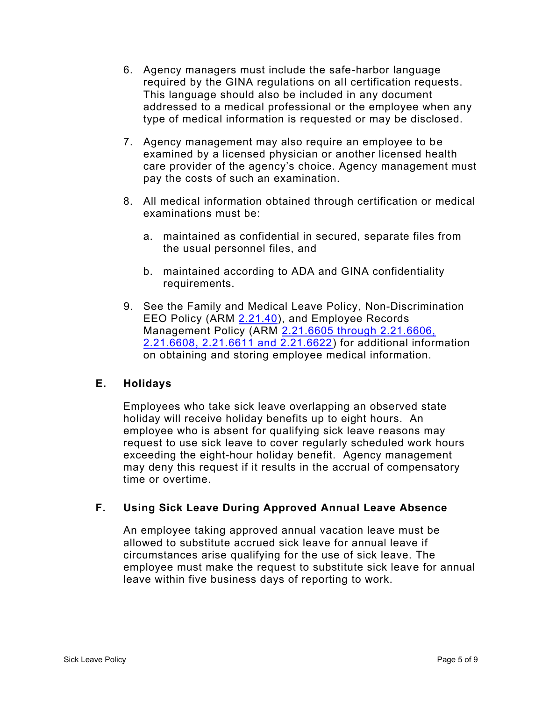- 6. Agency managers must include the safe-harbor language required by the GINA regulations on all certification requests. This language should also be included in any document addressed to a medical professional or the employee when any type of medical information is requested or may be disclosed.
- 7. Agency management may also require an employee to be examined by a licensed physician or another licensed health care provider of the agency's choice. Agency management must pay the costs of such an examination.
- 8. All medical information obtained through certification or medical examinations must be:
	- a. maintained as confidential in secured, separate files from the usual personnel files, and
	- b. maintained according to ADA and GINA confidentiality requirements.
- 9. See the Family and Medical Leave Policy, Non-Discrimination EEO Policy (ARM [2.21.40\)](http://www.mtrules.org/gateway/Subchapterhome.asp?scn=2%2E21.40), and Employee Records Management Policy (ARM [2.21.6605 through 2.21.6606,](http://www.mtrules.org/gateway/Subchapterhome.asp?scn=2%2E21.66)  [2.21.6608, 2.21.6611 and 2.21.6622\)](http://www.mtrules.org/gateway/Subchapterhome.asp?scn=2%2E21.66) for additional information on obtaining and storing employee medical information.

# **E. Holidays**

Employees who take sick leave overlapping an observed state holiday will receive holiday benefits up to eight hours. An employee who is absent for qualifying sick leave reasons may request to use sick leave to cover regularly scheduled work hours exceeding the eight-hour holiday benefit. Agency management may deny this request if it results in the accrual of compensatory time or overtime.

# **F. Using Sick Leave During Approved Annual Leave Absence**

An employee taking approved annual vacation leave must be allowed to substitute accrued sick leave for annual leave if circumstances arise qualifying for the use of sick leave. The employee must make the request to substitute sick leave for annual leave within five business days of reporting to work.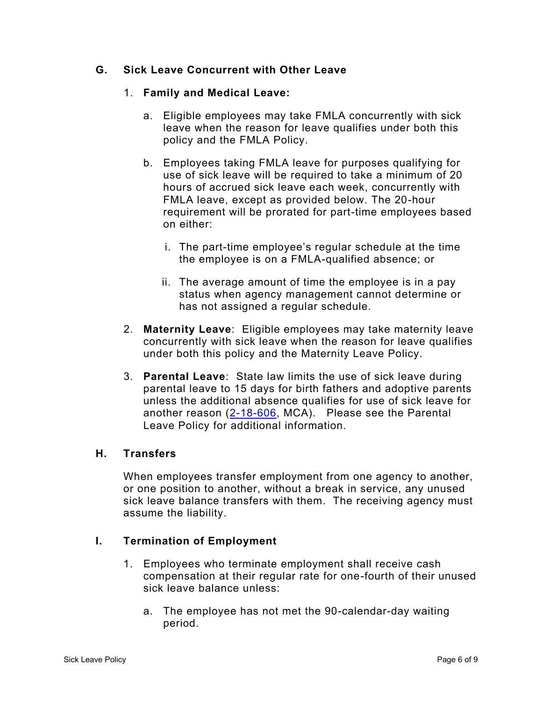### **G. Sick Leave Concurrent with Other Leave**

#### 1. **Family and Medical Leave:**

- a. Eligible employees may take FMLA concurrently with sick leave when the reason for leave qualifies under both this policy and the FMLA Policy.
- b. Employees taking FMLA leave for purposes qualifying for use of sick leave will be required to take a minimum of 20 hours of accrued sick leave each week, concurrently with FMLA leave, except as provided below. The 20-hour requirement will be prorated for part-time employees based on either:
	- i. The part-time employee's regular schedule at the time the employee is on a FMLA-qualified absence; or
	- ii. The average amount of time the employee is in a pay status when agency management cannot determine or has not assigned a regular schedule.
- 2. **Maternity Leave**: Eligible employees may take maternity leave concurrently with sick leave when the reason for leave qualifies under both this policy and the Maternity Leave Policy.
- 3. **Parental Leave**: State law limits the use of sick leave during parental leave to 15 days for birth fathers and adoptive parents unless the additional absence qualifies for use of sick leave for another reason [\(2-18-606,](https://leg.mt.gov/bills/mca/title_0020/chapter_0180/part_0060/section_0060/0020-0180-0060-0060.html) MCA). Please see the Parental Leave Policy for additional information.

#### **H. Transfers**

When employees transfer employment from one agency to another, or one position to another, without a break in service, any unused sick leave balance transfers with them. The receiving agency must assume the liability.

#### **I. Termination of Employment**

- 1. Employees who terminate employment shall receive cash compensation at their regular rate for one-fourth of their unused sick leave balance unless:
	- a. The employee has not met the 90-calendar-day waiting period.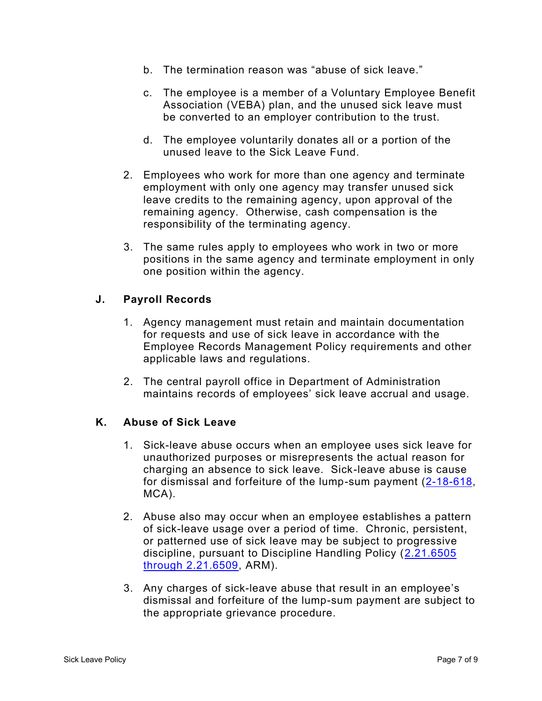- b. The termination reason was "abuse of sick leave."
- c. The employee is a member of a Voluntary Employee Benefit Association (VEBA) plan, and the unused sick leave must be converted to an employer contribution to the trust.
- d. The employee voluntarily donates all or a portion of the unused leave to the Sick Leave Fund.
- 2. Employees who work for more than one agency and terminate employment with only one agency may transfer unused sick leave credits to the remaining agency, upon approval of the remaining agency. Otherwise, cash compensation is the responsibility of the terminating agency.
- 3. The same rules apply to employees who work in two or more positions in the same agency and terminate employment in only one position within the agency.

### **J. Payroll Records**

- 1. Agency management must retain and maintain documentation for requests and use of sick leave in accordance with the Employee Records Management Policy requirements and other applicable laws and regulations.
- 2. The central payroll office in Department of Administration maintains records of employees' sick leave accrual and usage.

#### **K. Abuse of Sick Leave**

- 1. Sick-leave abuse occurs when an employee uses sick leave for unauthorized purposes or misrepresents the actual reason for charging an absence to sick leave. Sick-leave abuse is cause for dismissal and forfeiture of the lump-sum payment  $(2-18-618, 12)$  $(2-18-618, 12)$ MCA).
- 2. Abuse also may occur when an employee establishes a pattern of sick-leave usage over a period of time. Chronic, persistent, or patterned use of sick leave may be subject to progressive discipline, pursuant to Discipline Handling Policy [\(2.21.6505](http://www.mtrules.org/gateway/Subchapterhome.asp?scn=2%2E21.65)  [through 2.21.6509,](http://www.mtrules.org/gateway/Subchapterhome.asp?scn=2%2E21.65) ARM).
- 3. Any charges of sick-leave abuse that result in an employee's dismissal and forfeiture of the lump-sum payment are subject to the appropriate grievance procedure.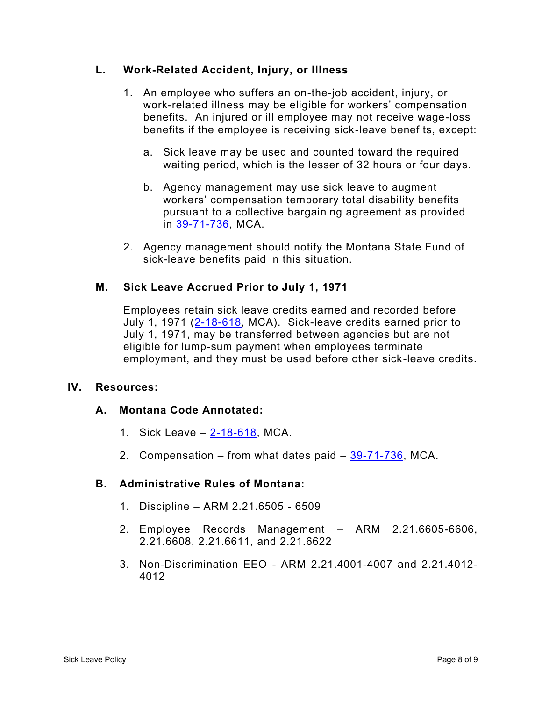### **L. Work-Related Accident, Injury, or Illness**

- 1. An employee who suffers an on-the-job accident, injury, or work-related illness may be eligible for workers' compensation benefits. An injured or ill employee may not receive wage-loss benefits if the employee is receiving sick-leave benefits, except:
	- a. Sick leave may be used and counted toward the required waiting period, which is the lesser of 32 hours or four days.
	- b. Agency management may use sick leave to augment workers' compensation temporary total disability benefits pursuant to a collective bargaining agreement as provided in [39-71-736,](https://leg.mt.gov/bills/mca/title_0390/chapter_0710/part_0070/section_0360/0390-0710-0070-0360.html) MCA.
- 2. Agency management should notify the Montana State Fund of sick-leave benefits paid in this situation.

### **M. Sick Leave Accrued Prior to July 1, 1971**

Employees retain sick leave credits earned and recorded before July 1, 1971 [\(2-18-618,](https://leg.mt.gov/bills/mca/title_0020/chapter_0180/part_0060/section_0180/0020-0180-0060-0180.html) MCA). Sick-leave credits earned prior to July 1, 1971, may be transferred between agencies but are not eligible for lump-sum payment when employees terminate employment, and they must be used before other sick-leave credits.

#### **IV. Resources:**

#### **A. Montana Code Annotated:**

- 1. Sick Leave [2-18-618,](https://leg.mt.gov/bills/mca/title_0020/chapter_0180/part_0060/section_0180/0020-0180-0060-0180.html) MCA.
- 2. Compensation from what dates paid  $-39-71-736$ , MCA.

#### **B. Administrative Rules of Montana:**

- 1. Discipline ARM 2.21.6505 6509
- 2. Employee Records Management ARM 2.21.6605-6606, 2.21.6608, 2.21.6611, and 2.21.6622
- 3. Non-Discrimination EEO ARM 2.21.4001-4007 and 2.21.4012- 4012